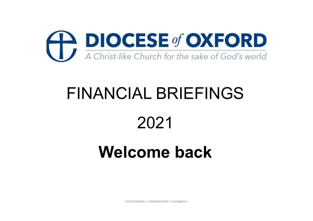

# FINANCIAL BRIEFINGS

### 2021

### Welcome back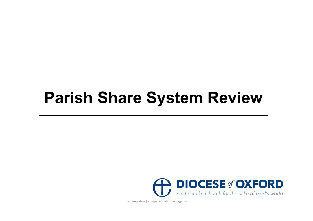### Parish Share System Review

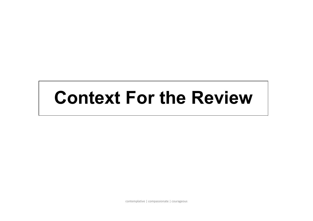# Context For the Review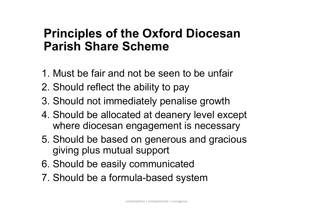### Principles of the Oxford Diocesan Parish Share Scheme

- 1. Must be fair and not be seen to be unfair
- 2. Should reflect the ability to pay
- 3. Should not immediately penalise growth
- 4. Should be allocated at deanery level except where diocesan engagement is necessary
- 5. Should be based on generous and gracious giving plus mutual support
- 6. Should be easily communicated
- 7. Should be a formula-based system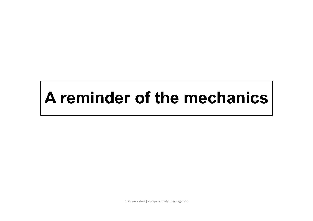# A reminder of the mechanics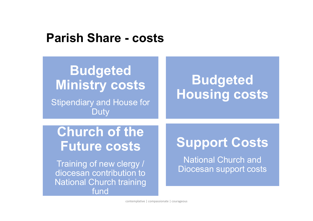# Parish Share - costs

National Church training

fund

#### Budgeted Housing costs Church of the Future costs Training of new clergy / diocesan contribution to **Budgeted** Ministry costs Stipendiary and House for **Duty** Support Costs National Church and Diocesan support costs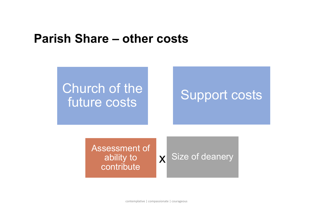# Parish Share – other costs



ability to contribute

X Size of deanery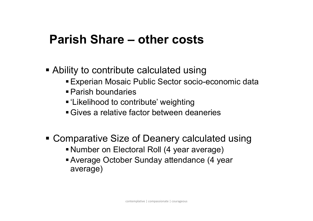# Parish Share – other costs

- Ability to contribute calculated using
	- Experian Mosaic Public Sector socio-economic data
	- Parish boundaries
	- 'Likelihood to contribute' weighting
	- Gives a relative factor between deaneries
- Comparative Size of Deanery calculated using
	- Number on Electoral Roll (4 year average)
	- Average October Sunday attendance (4 year average)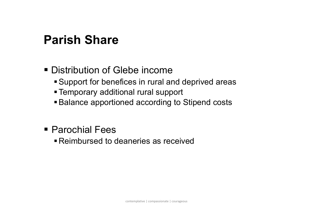### Parish Share

#### Distribution of Glebe income

- Support for benefices in rural and deprived areas
- Temporary additional rural support
- Balance apportioned according to Stipend costs
- Parochial Fees
	- Reimbursed to deaneries as received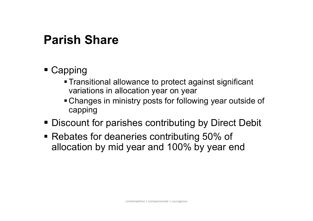### Parish Share

- Capping
	- Transitional allowance to protect against significant variations in allocation year on year
	- Changes in ministry posts for following year outside of capping
- Discount for parishes contributing by Direct Debit
- Rebates for deaneries contributing 50% of allocation by mid year and 100% by year end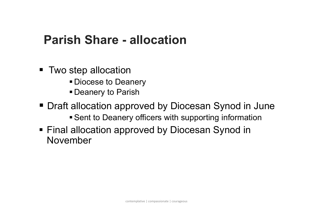# Parish Share - allocation

- Two step allocation
	- **Diocese to Deanery**
	- **Deanery to Parish**
- Draft allocation approved by Diocesan Synod in June
	- **Sent to Deanery officers with supporting information**
- Final allocation approved by Diocesan Synod in November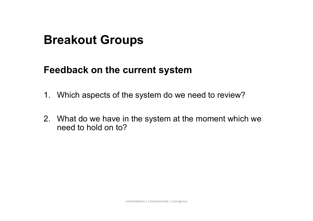#### Breakout Groups

#### Feedback on the current system

- **Breakout Groups<br>1. Which aspects of the system do we need to review?<br>1. Which aspects of the system do we need to review?<br>2. What do we have in the system at the moment which we**
- **Breakout Groups**<br> **Peedback on the current system**<br>
1. Which aspects of the system do we need to review?<br>
2. What do we have in the system at the moment which we<br>
need to hold on to? need to hold on to?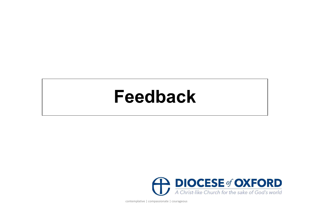### Feedback